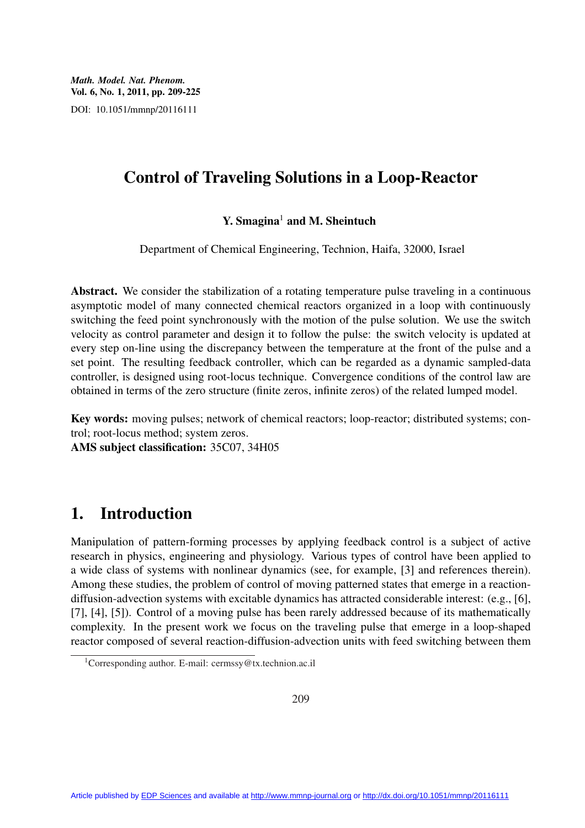*Math. Model. Nat. Phenom.* Vol. 6, No. 1, 2011, pp. 209-225 DOI: 10.1051/mmnp/20116111

# Control of Traveling Solutions in a Loop-Reactor

#### $Y. S$ magina<sup>1</sup> and M. Sheintuch

Department of Chemical Engineering, Technion, Haifa, 32000, Israel

Abstract. We consider the stabilization of a rotating temperature pulse traveling in a continuous asymptotic model of many connected chemical reactors organized in a loop with continuously switching the feed point synchronously with the motion of the pulse solution. We use the switch velocity as control parameter and design it to follow the pulse: the switch velocity is updated at every step on-line using the discrepancy between the temperature at the front of the pulse and a set point. The resulting feedback controller, which can be regarded as a dynamic sampled-data controller, is designed using root-locus technique. Convergence conditions of the control law are obtained in terms of the zero structure (finite zeros, infinite zeros) of the related lumped model.

Key words: moving pulses; network of chemical reactors; loop-reactor; distributed systems; control; root-locus method; system zeros.

AMS subject classification: 35C07, 34H05

# 1. Introduction

Manipulation of pattern-forming processes by applying feedback control is a subject of active research in physics, engineering and physiology. Various types of control have been applied to a wide class of systems with nonlinear dynamics (see, for example, [3] and references therein). Among these studies, the problem of control of moving patterned states that emerge in a reactiondiffusion-advection systems with excitable dynamics has attracted considerable interest: (e.g., [6], [7], [4], [5]). Control of a moving pulse has been rarely addressed because of its mathematically complexity. In the present work we focus on the traveling pulse that emerge in a loop-shaped reactor composed of several reaction-diffusion-advection units with feed switching between them

<sup>1</sup>Corresponding author. E-mail: cermssy@tx.technion.ac.il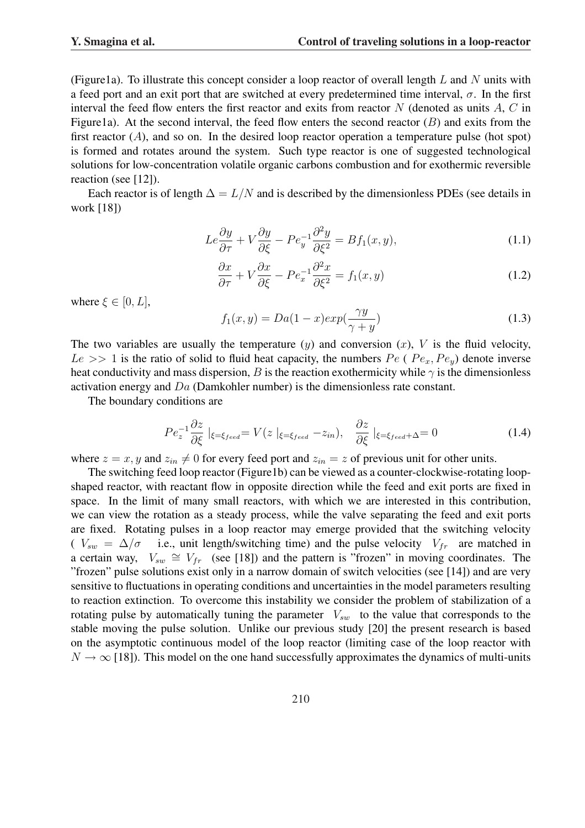(Figure1a). To illustrate this concept consider a loop reactor of overall length  $L$  and  $N$  units with a feed port and an exit port that are switched at every predetermined time interval,  $\sigma$ . In the first interval the feed flow enters the first reactor and exits from reactor  $N$  (denoted as units  $A, C$  in Figure1a). At the second interval, the feed flow enters the second reactor  $(B)$  and exits from the first reactor  $(A)$ , and so on. In the desired loop reactor operation a temperature pulse (hot spot) is formed and rotates around the system. Such type reactor is one of suggested technological solutions for low-concentration volatile organic carbons combustion and for exothermic reversible reaction (see [12]).

Each reactor is of length  $\Delta = L/N$  and is described by the dimensionless PDEs (see details in work [18])

$$
Le\frac{\partial y}{\partial \tau} + V\frac{\partial y}{\partial \xi} - Pe_y^{-1}\frac{\partial^2 y}{\partial \xi^2} = Bf_1(x, y),\tag{1.1}
$$

$$
\frac{\partial x}{\partial \tau} + V \frac{\partial x}{\partial \xi} - P e_x^{-1} \frac{\partial^2 x}{\partial \xi^2} = f_1(x, y)
$$
\n(1.2)

where  $\xi \in [0, L]$ ,

$$
f_1(x,y) = Da(1-x)exp(\frac{\gamma y}{\gamma + y})
$$
\n(1.3)

The two variables are usually the temperature  $(y)$  and conversion  $(x)$ , V is the fluid velocity,  $Le \gg 1$  is the ratio of solid to fluid heat capacity, the numbers  $Pe$  (  $Pe_x, Pe_y$ ) denote inverse heat conductivity and mass dispersion, B is the reaction exothermicity while  $\gamma$  is the dimensionless activation energy and Da (Damkohler number) is the dimensionless rate constant.

The boundary conditions are

$$
Pe_z^{-1} \frac{\partial z}{\partial \xi} \mid_{\xi = \xi_{feed}} = V(z \mid_{\xi = \xi_{feed}} - z_{in}), \quad \frac{\partial z}{\partial \xi} \mid_{\xi = \xi_{feed} + \Delta} = 0 \tag{1.4}
$$

where  $z = x, y$  and  $z_{in} \neq 0$  for every feed port and  $z_{in} = z$  of previous unit for other units.

The switching feed loop reactor (Figure1b) can be viewed as a counter-clockwise-rotating loopshaped reactor, with reactant flow in opposite direction while the feed and exit ports are fixed in space. In the limit of many small reactors, with which we are interested in this contribution, we can view the rotation as a steady process, while the valve separating the feed and exit ports are fixed. Rotating pulses in a loop reactor may emerge provided that the switching velocity  $(V_{sw} = \Delta/\sigma$  i.e., unit length/switching time) and the pulse velocity  $V_{fr}$  are matched in a certain way,  $V_{sw} \cong V_{fr}$  (see [18]) and the pattern is "frozen" in moving coordinates. The "frozen" pulse solutions exist only in a narrow domain of switch velocities (see [14]) and are very sensitive to fluctuations in operating conditions and uncertainties in the model parameters resulting to reaction extinction. To overcome this instability we consider the problem of stabilization of a rotating pulse by automatically tuning the parameter  $V_{sw}$  to the value that corresponds to the stable moving the pulse solution. Unlike our previous study [20] the present research is based on the asymptotic continuous model of the loop reactor (limiting case of the loop reactor with  $N \to \infty$  [18]). This model on the one hand successfully approximates the dynamics of multi-units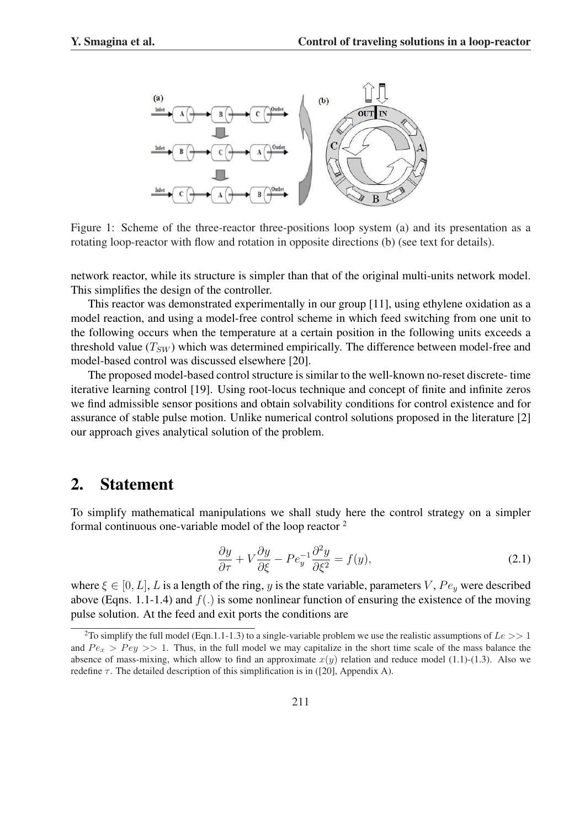

Figure 1: Scheme of the three-reactor three-positions loop system (a) and its presentation as a rotating loop-reactor with flow and rotation in opposite directions (b) (see text for details).

network reactor, while its structure is simpler than that of the original multi-units network model. This simplifies the design of the controller.

This reactor was demonstrated experimentally in our group [11], using ethylene oxidation as a model reaction, and using a model-free control scheme in which feed switching from one unit to the following occurs when the temperature at a certain position in the following units exceeds a threshold value  $(T_{SW})$  which was determined empirically. The difference between model-free and model-based control was discussed elsewhere [20].

The proposed model-based control structure is similar to the well-known no-reset discrete- time iterative learning control [19]. Using root-locus technique and concept of finite and infinite zeros we find admissible sensor positions and obtain solvability conditions for control existence and for assurance of stable pulse motion. Unlike numerical control solutions proposed in the literature [2] our approach gives analytical solution of the problem.

#### 2. Statement

To simplify mathematical manipulations we shall study here the control strategy on a simpler formal continuous one-variable model of the loop reactor <sup>2</sup>

$$
\frac{\partial y}{\partial \tau} + V \frac{\partial y}{\partial \xi} - P e_y^{-1} \frac{\partial^2 y}{\partial \xi^2} = f(y),\tag{2.1}
$$

where  $\xi \in [0, L]$ , L is a length of the ring, y is the state variable, parameters V,  $Pe_y$  were described above (Eqns. 1.1-1.4) and  $f(.)$  is some nonlinear function of ensuring the existence of the moving pulse solution. At the feed and exit ports the conditions are

<sup>&</sup>lt;sup>2</sup>To simplify the full model (Eqn.1.1-1.3) to a single-variable problem we use the realistic assumptions of  $Le >> 1$ and  $Pe_x > Pe_y >> 1$ . Thus, in the full model we may capitalize in the short time scale of the mass balance the absence of mass-mixing, which allow to find an approximate  $x(y)$  relation and reduce model (1.1)-(1.3). Also we redefine  $\tau$ . The detailed description of this simplification is in ([20], Appendix A).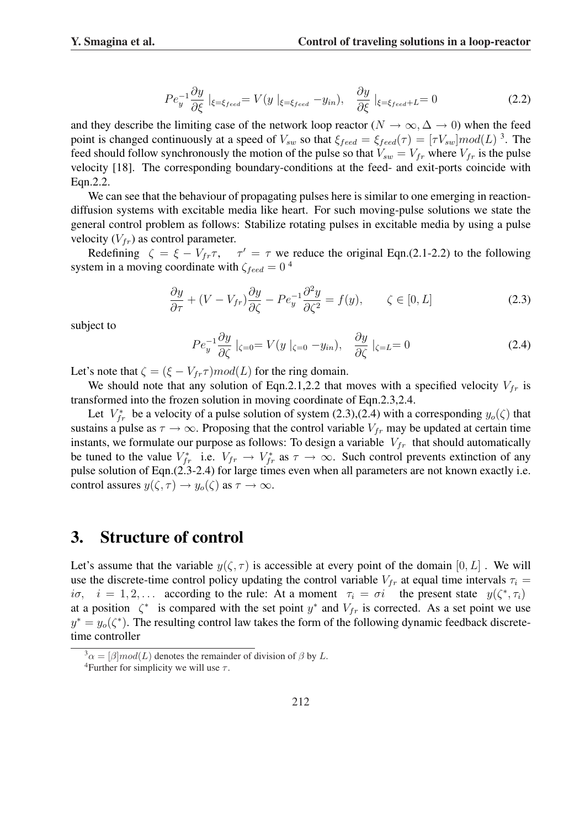$$
Pe_y^{-1} \frac{\partial y}{\partial \xi} \mid_{\xi = \xi_{feed}} = V(y \mid_{\xi = \xi_{feed}} - y_{in}), \quad \frac{\partial y}{\partial \xi} \mid_{\xi = \xi_{feed} + L} = 0 \tag{2.2}
$$

and they describe the limiting case of the network loop reactor ( $N \to \infty$ ,  $\Delta \to 0$ ) when the feed point is changed continuously at a speed of  $V_{sw}$  so that  $\xi_{feed} = \xi_{feed}(\tau) = [\tau V_{sw}] mod(L)^3$ . The feed should follow synchronously the motion of the pulse so that  $V_{sw} = V_{fr}$  where  $V_{fr}$  is the pulse velocity [18]. The corresponding boundary-conditions at the feed- and exit-ports coincide with Eqn.2.2.

We can see that the behaviour of propagating pulses here is similar to one emerging in reactiondiffusion systems with excitable media like heart. For such moving-pulse solutions we state the general control problem as follows: Stabilize rotating pulses in excitable media by using a pulse velocity  $(V_{fr})$  as control parameter.

Redefining  $\zeta = \xi - V_{fr}\tau$ ,  $\tau' = \tau$  we reduce the original Eqn.(2.1-2.2) to the following system in a moving coordinate with  $\zeta_{feed} = 0^4$ 

$$
\frac{\partial y}{\partial \tau} + (V - V_{fr}) \frac{\partial y}{\partial \zeta} - P e_y^{-1} \frac{\partial^2 y}{\partial \zeta^2} = f(y), \qquad \zeta \in [0, L]
$$
\n(2.3)

subject to

$$
Pe_y^{-1} \frac{\partial y}{\partial \zeta} \mid_{\zeta=0} = V(y \mid_{\zeta=0} -y_{in}), \quad \frac{\partial y}{\partial \zeta} \mid_{\zeta=L} = 0 \tag{2.4}
$$

Let's note that  $\zeta = (\xi - V_{fr}\tau)$  mod(L) for the ring domain.

We should note that any solution of Eqn.2.1,2.2 that moves with a specified velocity  $V_{fr}$  is transformed into the frozen solution in moving coordinate of Eqn.2.3,2.4.

Let  $V_{fr}^*$  be a velocity of a pulse solution of system (2.3),(2.4) with a corresponding  $y_o(\zeta)$  that sustains a pulse as  $\tau \to \infty$ . Proposing that the control variable  $V_{fr}$  may be updated at certain time instants, we formulate our purpose as follows: To design a variable  $V_{fr}$  that should automatically be tuned to the value  $V_{fr}^*$  i.e.  $V_{fr} \to V_{fr}^*$  as  $\tau \to \infty$ . Such control prevents extinction of any pulse solution of Eqn.(2.3-2.4) for large times even when all parameters are not known exactly i.e. control assures  $y(\zeta, \tau) \to y_o(\zeta)$  as  $\tau \to \infty$ .

### 3. Structure of control

Let's assume that the variable  $y(\zeta, \tau)$  is accessible at every point of the domain  $[0, L]$ . We will use the discrete-time control policy updating the control variable  $V_{fr}$  at equal time intervals  $\tau_i =$ i $\sigma$ ,  $i = 1, 2, \ldots$  according to the rule: At a moment  $\tau_i = \sigma i$  the present state  $y(\zeta^*, \tau_i)$ at a position  $\zeta^*$  is compared with the set point  $y^*$  and  $V_{fr}$  is corrected. As a set point we use  $y^* = y_o(\zeta^*)$ . The resulting control law takes the form of the following dynamic feedback discretetime controller

 $3\alpha = [\beta]$  mod(L) denotes the remainder of division of  $\beta$  by L.

<sup>&</sup>lt;sup>4</sup>Further for simplicity we will use  $\tau$ .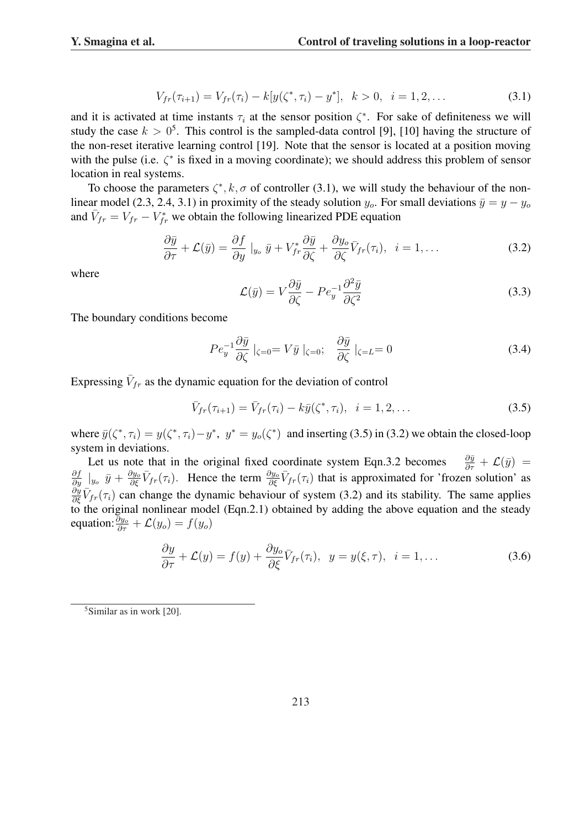$$
V_{fr}(\tau_{i+1}) = V_{fr}(\tau_i) - k[y(\zeta^*, \tau_i) - y^*], \quad k > 0, \quad i = 1, 2, \dots
$$
 (3.1)

and it is activated at time instants  $\tau_i$  at the sensor position  $\zeta^*$ . For sake of definiteness we will study the case  $k > 0^5$ . This control is the sampled-data control [9], [10] having the structure of the non-reset iterative learning control [19]. Note that the sensor is located at a position moving with the pulse (i.e.  $\zeta^*$  is fixed in a moving coordinate); we should address this problem of sensor location in real systems.

To choose the parameters  $\zeta^*, k, \sigma$  of controller (3.1), we will study the behaviour of the nonlinear model (2.3, 2.4, 3.1) in proximity of the steady solution  $y_o$ . For small deviations  $\bar{y} = y - y_o$ and  $\bar{V}_{fr} = V_{fr} - V_{fr}^*$  we obtain the following linearized PDE equation

$$
\frac{\partial \bar{y}}{\partial \tau} + \mathcal{L}(\bar{y}) = \frac{\partial f}{\partial y} \big|_{y_o} \bar{y} + V_{fr}^* \frac{\partial \bar{y}}{\partial \zeta} + \frac{\partial y_o}{\partial \zeta} \bar{V}_{fr}(\tau_i), \quad i = 1, \dots
$$
\n(3.2)

where

$$
\mathcal{L}(\bar{y}) = V \frac{\partial \bar{y}}{\partial \zeta} - P e_y^{-1} \frac{\partial^2 \bar{y}}{\partial \zeta^2}
$$
\n(3.3)

The boundary conditions become

$$
Pe_y^{-1} \frac{\partial \bar{y}}{\partial \zeta} \mid_{\zeta=0} = V \bar{y} \mid_{\zeta=0}; \quad \frac{\partial \bar{y}}{\partial \zeta} \mid_{\zeta=L} = 0 \tag{3.4}
$$

Expressing  $\bar{V}_{fr}$  as the dynamic equation for the deviation of control

$$
\bar{V}_{fr}(\tau_{i+1}) = \bar{V}_{fr}(\tau_i) - k\bar{y}(\zeta^*, \tau_i), \quad i = 1, 2, \dots
$$
\n(3.5)

where  $\bar{y}(\zeta^*, \tau_i) = y(\zeta^*, \tau_i) - y^*$ ,  $y^* = y_o(\zeta^*)$  and inserting (3.5) in (3.2) we obtain the closed-loop system in deviations.

Let us note that in the original fixed coordinate system Eqn.3.2 becomes  $\frac{\partial \bar{y}}{\partial \tau} + \mathcal{L}(\bar{y}) =$  $\frac{\partial f}{\partial y}\Big|_{y_o} \bar{y} + \frac{\partial y_o}{\partial \xi} \bar{V}_{fr}(\tau_i)$ . Hence the term  $\frac{\partial y_o}{\partial \xi} \bar{V}_{fr}(\tau_i)$  that is approximated for 'frozen solution' as  $\frac{\partial y}{\partial \xi} \overline{V}_{fr}(\tau_i)$  can change the dynamic behaviour of system (3.2) and its stability. The same applies to the original nonlinear model (Eqn.2.1) obtained by adding the above equation and the steady equation:  $\frac{\partial y_o}{\partial \tau} + \mathcal{L}(y_o) = f(y_o)$ 

$$
\frac{\partial y}{\partial \tau} + \mathcal{L}(y) = f(y) + \frac{\partial y_o}{\partial \xi} \bar{V}_{fr}(\tau_i), \ \ y = y(\xi, \tau), \ \ i = 1, \dots \tag{3.6}
$$

 $5$ Similar as in work [20].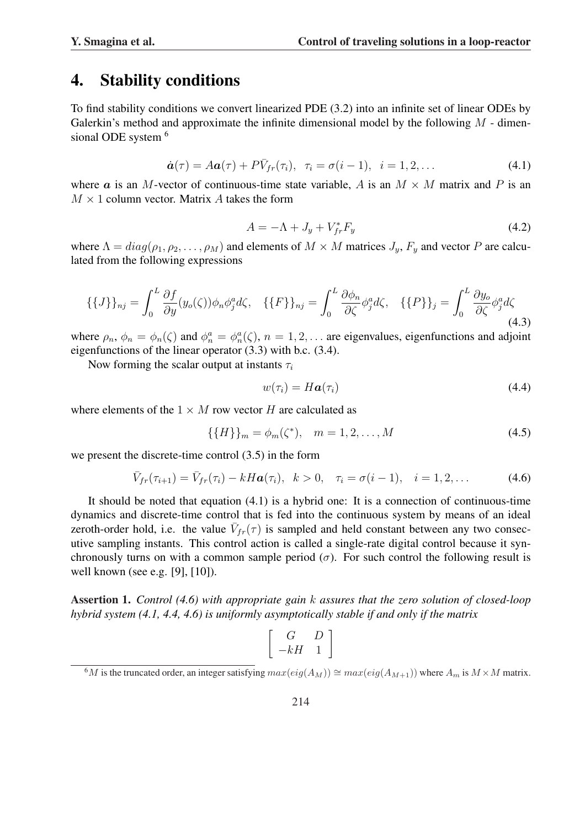#### 4. Stability conditions

To find stability conditions we convert linearized PDE (3.2) into an infinite set of linear ODEs by Galerkin's method and approximate the infinite dimensional model by the following  $M$  - dimensional ODE system <sup>6</sup>

$$
\dot{\boldsymbol{a}}(\tau) = A\boldsymbol{a}(\tau) + P\bar{V}_{fr}(\tau_i), \quad \tau_i = \sigma(i-1), \quad i = 1, 2, \dots \tag{4.1}
$$

where a is an M-vector of continuous-time state variable, A is an  $M \times M$  matrix and P is an  $M \times 1$  column vector. Matrix A takes the form

$$
A = -\Lambda + J_y + V_{fr}^* F_y \tag{4.2}
$$

where  $\Lambda = diag(\rho_1, \rho_2, \dots, \rho_M)$  and elements of  $M \times M$  matrices  $J_y$ ,  $F_y$  and vector P are calculated from the following expressions

$$
\{\{J\}\}_{nj} = \int_0^L \frac{\partial f}{\partial y}(y_o(\zeta))\phi_n \phi_j^a d\zeta, \quad \{\{F\}\}_{nj} = \int_0^L \frac{\partial \phi_n}{\partial \zeta} \phi_j^a d\zeta, \quad \{\{P\}\}_j = \int_0^L \frac{\partial y_o}{\partial \zeta} \phi_j^a d\zeta
$$
\n(4.3)

where  $\rho_n$ ,  $\phi_n = \phi_n(\zeta)$  and  $\phi_n^a = \phi_n^a(\zeta)$ ,  $n = 1, 2, \dots$  are eigenvalues, eigenfunctions and adjoint eigenfunctions of the linear operator (3.3) with b.c. (3.4).

Now forming the scalar output at instants  $\tau_i$ 

$$
w(\tau_i) = H\boldsymbol{a}(\tau_i) \tag{4.4}
$$

where elements of the  $1 \times M$  row vector H are calculated as

$$
\{\{H\}\}_m = \phi_m(\zeta^*), \quad m = 1, 2, \dots, M
$$
\n(4.5)

we present the discrete-time control (3.5) in the form

$$
\bar{V}_{fr}(\tau_{i+1}) = \bar{V}_{fr}(\tau_i) - kH\mathbf{a}(\tau_i), \ \ k > 0, \quad \tau_i = \sigma(i-1), \quad i = 1, 2, \dots \tag{4.6}
$$

It should be noted that equation (4.1) is a hybrid one: It is a connection of continuous-time dynamics and discrete-time control that is fed into the continuous system by means of an ideal zeroth-order hold, i.e. the value  $\bar{V}_{fr}(\tau)$  is sampled and held constant between any two consecutive sampling instants. This control action is called a single-rate digital control because it synchronously turns on with a common sample period ( $\sigma$ ). For such control the following result is well known (see e.g. [9], [10]).

Assertion 1. *Control (4.6) with appropriate gain* k *assures that the zero solution of closed-loop hybrid system (4.1, 4.4, 4.6) is uniformly asymptotically stable if and only if the matrix*

$$
\left[\begin{array}{cc} G & D \\ -kH & 1 \end{array}\right]
$$

 $6M$  is the truncated order, an integer satisfying  $max(eig(A_M)) \cong max(eig(A_{M+1}))$  where  $A_m$  is  $M \times M$  matrix.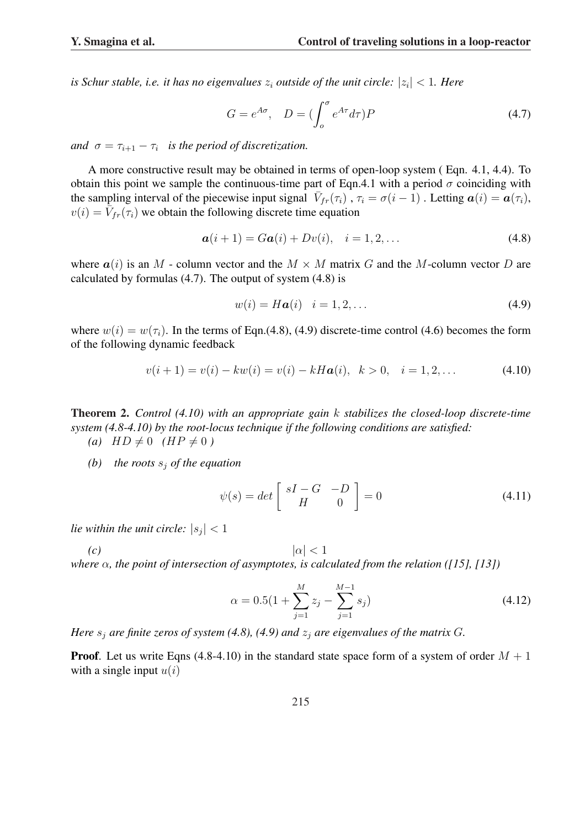is Schur stable, i.e. it has no eigenvalues  $z_i$  outside of the unit circle:  $|z_i| < 1$ . Here

$$
G = e^{A\sigma}, \quad D = \left(\int_o^{\sigma} e^{A\tau} d\tau\right) P \tag{4.7}
$$

*and*  $\sigma = \tau_{i+1} - \tau_i$  *is the period of discretization.* 

A more constructive result may be obtained in terms of open-loop system ( Eqn. 4.1, 4.4). To obtain this point we sample the continuous-time part of Eqn.4.1 with a period  $\sigma$  coinciding with the sampling interval of the piecewise input signal  $\overline{V}_{fr}(\tau_i)$ ,  $\tau_i = \sigma(i-1)$ . Letting  $a(i) = a(\tau_i)$ ,  $v(i) = \overline{\tilde{V}_{fr}(\tau_i)}$  we obtain the following discrete time equation

$$
a(i + 1) = Ga(i) + Dv(i), \quad i = 1, 2, ... \tag{4.8}
$$

where  $a(i)$  is an M - column vector and the  $M \times M$  matrix G and the M-column vector D are calculated by formulas (4.7). The output of system (4.8) is

$$
w(i) = H\mathbf{a}(i) \quad i = 1, 2, \dots \tag{4.9}
$$

where  $w(i) = w(\tau_i)$ . In the terms of Eqn.(4.8), (4.9) discrete-time control (4.6) becomes the form of the following dynamic feedback

$$
v(i + 1) = v(i) - kw(i) = v(i) - kHa(i), \ \ k > 0, \ \ i = 1, 2, \dots \tag{4.10}
$$

Theorem 2. *Control (4.10) with an appropriate gain* k *stabilizes the closed-loop discrete-time system (4.8-4.10) by the root-locus technique if the following conditions are satisfied:*

 $(a)$   $HD \neq 0$   $(HP \neq 0)$ 

*(b)* the roots  $s_i$  of the equation

$$
\psi(s) = det \begin{bmatrix} sI - G & -D \\ H & 0 \end{bmatrix} = 0 \tag{4.11}
$$

*lie within the unit circle:*  $|s_j| < 1$ 

 $| \alpha | < 1$ 

*where* α*, the point of intersection of asymptotes, is calculated from the relation ([15], [13])*

$$
\alpha = 0.5(1 + \sum_{j=1}^{M} z_j - \sum_{j=1}^{M-1} s_j)
$$
\n(4.12)

*Here*  $s_i$  *are finite zeros of system (4.8), (4.9) and*  $z_i$  *are eigenvalues of the matrix G.* 

**Proof.** Let us write Eqns (4.8-4.10) in the standard state space form of a system of order  $M + 1$ with a single input  $u(i)$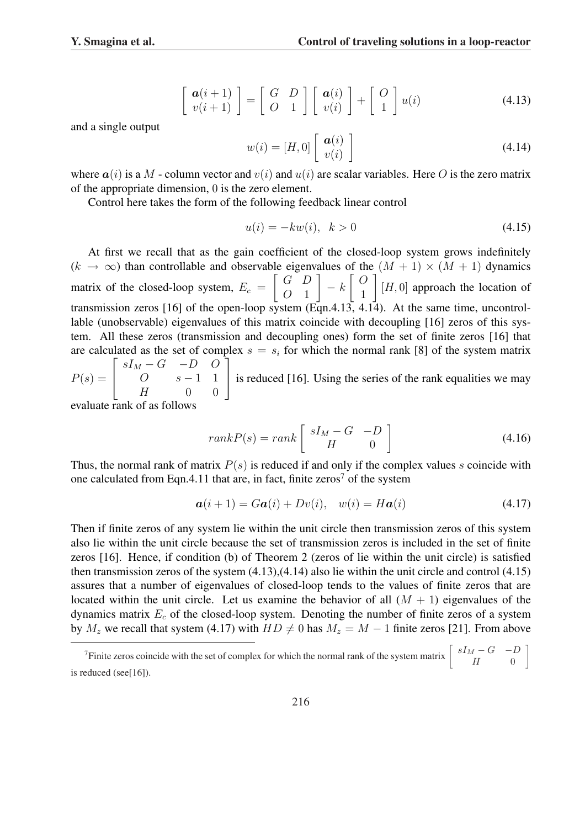$$
\begin{bmatrix} \mathbf{a}(i+1) \\ v(i+1) \end{bmatrix} = \begin{bmatrix} G & D \\ O & 1 \end{bmatrix} \begin{bmatrix} \mathbf{a}(i) \\ v(i) \end{bmatrix} + \begin{bmatrix} O \\ 1 \end{bmatrix} u(i)
$$
(4.13)

and a single output

$$
w(i) = [H, 0] \left[ \begin{array}{c} \boldsymbol{a}(i) \\ v(i) \end{array} \right] \tag{4.14}
$$

where  $a(i)$  is a M - column vector and  $v(i)$  and  $u(i)$  are scalar variables. Here O is the zero matrix of the appropriate dimension, 0 is the zero element.

Control here takes the form of the following feedback linear control

$$
u(i) = -kw(i), \ \ k > 0 \tag{4.15}
$$

At first we recall that as the gain coefficient of the closed-loop system grows indefinitely  $(k \to \infty)$  than controllable and observable eigenvalues of the  $(M + 1) \times (M + 1)$  dynamics matrix of the closed-loop system,  $E_c = \begin{bmatrix} G & D \\ O & 1 \end{bmatrix}$  $\begin{bmatrix} G & D \\ O & 1 \end{bmatrix} - k \begin{bmatrix} O \\ 1 \end{bmatrix}$  $\begin{bmatrix} 1 \end{bmatrix}$  [H, 0] approach the location of transmission zeros [16] of the open-loop system  $(\overrightarrow{Eqn.4.13}, 4.14)$ . At the same time, uncontrollable (unobservable) eigenvalues of this matrix coincide with decoupling [16] zeros of this system. All these zeros (transmission and decoupling ones) form the set of finite zeros [16] that are calculated as the set of complex  $s = s_i$  for which the normal rank [8] of the system matrix  $sI_M - G$  −D  $O$ 

 $P(s) =$  $O \qquad s-1 \quad 1$  $H$  0 0 is reduced [16]. Using the series of the rank equalities we may

evaluate rank of as follows

$$
rankP(s) = rank \begin{bmatrix} sI_M - G & -D \\ H & 0 \end{bmatrix}
$$
 (4.16)

Thus, the normal rank of matrix  $P(s)$  is reduced if and only if the complex values s coincide with one calculated from Eqn.4.11 that are, in fact, finite zeros<sup>7</sup> of the system

$$
\mathbf{a}(i+1) = G\mathbf{a}(i) + Dv(i), \quad w(i) = H\mathbf{a}(i) \tag{4.17}
$$

 $\overline{a}$ 

Then if finite zeros of any system lie within the unit circle then transmission zeros of this system also lie within the unit circle because the set of transmission zeros is included in the set of finite zeros [16]. Hence, if condition (b) of Theorem 2 (zeros of lie within the unit circle) is satisfied then transmission zeros of the system (4.13),(4.14) also lie within the unit circle and control (4.15) assures that a number of eigenvalues of closed-loop tends to the values of finite zeros that are located within the unit circle. Let us examine the behavior of all  $(M + 1)$  eigenvalues of the dynamics matrix  $E_c$  of the closed-loop system. Denoting the number of finite zeros of a system by  $M_z$  we recall that system (4.17) with  $HD \neq 0$  has  $M_z = M - 1$  finite zeros [21]. From above

<sup>&</sup>lt;sup>7</sup>Finite zeros coincide with the set of complex for which the normal rank of the system matrix  $\begin{bmatrix} sI_M - G & -D \ I & 0 \end{bmatrix}$  $H \qquad 0$ is reduced (see[16]).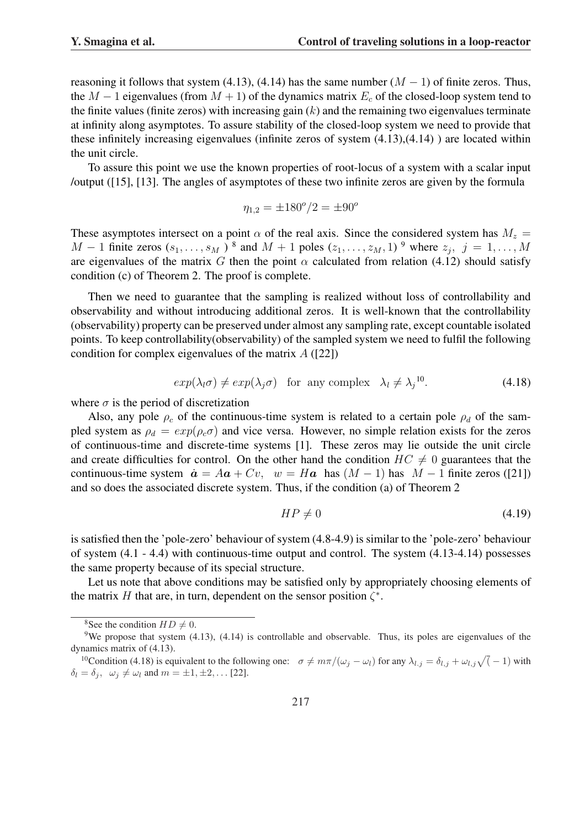reasoning it follows that system (4.13), (4.14) has the same number  $(M - 1)$  of finite zeros. Thus, the M – 1 eigenvalues (from  $M + 1$ ) of the dynamics matrix  $E_c$  of the closed-loop system tend to the finite values (finite zeros) with increasing gain  $(k)$  and the remaining two eigenvalues terminate at infinity along asymptotes. To assure stability of the closed-loop system we need to provide that these infinitely increasing eigenvalues (infinite zeros of system (4.13),(4.14) ) are located within the unit circle.

To assure this point we use the known properties of root-locus of a system with a scalar input /output ([15], [13]. The angles of asymptotes of these two infinite zeros are given by the formula

$$
\eta_{1,2} = \pm 180^{\circ}/2 = \pm 90^{\circ}
$$

These asymptotes intersect on a point  $\alpha$  of the real axis. Since the considered system has  $M_z$  =  $M-1$  finite zeros  $(s_1,\ldots,s_M)$ <sup>8</sup> and  $M+1$  poles  $(z_1,\ldots,z_M,1)$ <sup>9</sup> where  $z_j$ ,  $j=1,\ldots,M$ are eigenvalues of the matrix G then the point  $\alpha$  calculated from relation (4.12) should satisfy condition (c) of Theorem 2. The proof is complete.

Then we need to guarantee that the sampling is realized without loss of controllability and observability and without introducing additional zeros. It is well-known that the controllability (observability) property can be preserved under almost any sampling rate, except countable isolated points. To keep controllability(observability) of the sampled system we need to fulfil the following condition for complex eigenvalues of the matrix  $A(22)$ 

$$
exp(\lambda_l \sigma) \neq exp(\lambda_j \sigma) \quad \text{for any complex} \quad \lambda_l \neq \lambda_j^{10}.\tag{4.18}
$$

where  $\sigma$  is the period of discretization

Also, any pole  $\rho_c$  of the continuous-time system is related to a certain pole  $\rho_d$  of the sampled system as  $\rho_d = exp(\rho_c \sigma)$  and vice versa. However, no simple relation exists for the zeros of continuous-time and discrete-time systems [1]. These zeros may lie outside the unit circle and create difficulties for control. On the other hand the condition  $HC \neq 0$  guarantees that the continuous-time system  $\dot{a} = Aa + Cv$ ,  $w = Ha$  has  $(M - 1)$  has  $M - 1$  finite zeros ([21]) and so does the associated discrete system. Thus, if the condition (a) of Theorem 2

$$
HP \neq 0 \tag{4.19}
$$

is satisfied then the 'pole-zero' behaviour of system (4.8-4.9) is similar to the 'pole-zero' behaviour of system (4.1 - 4.4) with continuous-time output and control. The system (4.13-4.14) possesses the same property because of its special structure.

Let us note that above conditions may be satisfied only by appropriately choosing elements of the matrix H that are, in turn, dependent on the sensor position  $\zeta^*$ .

<sup>&</sup>lt;sup>8</sup>See the condition  $HD \neq 0$ .

<sup>&</sup>lt;sup>9</sup>We propose that system  $(4.13)$ ,  $(4.14)$  is controllable and observable. Thus, its poles are eigenvalues of the dynamics matrix of (4.13).

namics matrix of (4.15).<br><sup>10</sup>Condition (4.18) is equivalent to the following one:  $\sigma \neq m\pi/(\omega_j - \omega_l)$  for any  $\lambda_{l,j} = \delta_{l,j} + \omega_{l,j}\sqrt{l-1}$  with  $\delta_l = \delta_j$ ,  $\omega_j \neq \omega_l$  and  $m = \pm 1, \pm 2, \dots$  [22].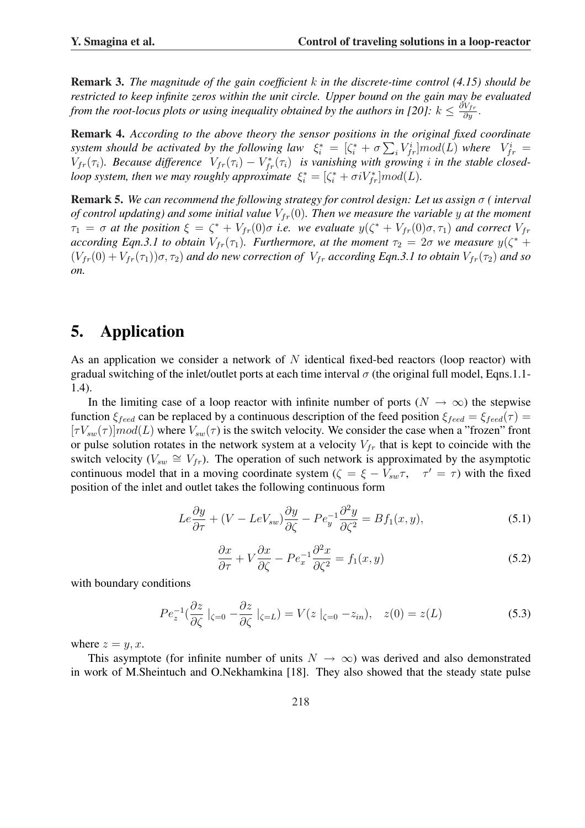Remark 3. *The magnitude of the gain coefficient* k *in the discrete-time control (4.15) should be restricted to keep infinite zeros within the unit circle. Upper bound on the gain may be evaluated from the root-locus plots or using inequality obtained by the authors in [20]:*  $k \leq \frac{\partial V_{fr}}{\partial y}$ .

Remark 4. *According to the above theory the sensor positions in the original fixed coordinate* system should be activated by the following law  $\xi_i^* = [\zeta_i^* + \sigma \sum_i V_{fr}^i] mod(L)$  where  $V_{fr}^i =$  $V_{fr}(\tau_i)$ . Because difference  $V_{fr}(\tau_i) - V_{fr}^*(\tau_i)$  is vanishing with growing i in the stable closed*loop system, then we may roughly approximate*  $\xi_i^* = [\zeta_i^* + \sigma i V_{fr}^*] \text{mod}(L)$ .

Remark 5. *We can recommend the following strategy for control design: Let us assign* σ *( interval of control updating) and some initial value*  $V_{fr}(0)$ *. Then we measure the variable y at the moment*  $\tau_1 = \sigma$  at the position  $\xi = \zeta^* + V_{fr}(0)\sigma$  *i.e.* we evaluate  $y(\zeta^* + V_{fr}(0)\sigma, \tau_1)$  and correct  $V_{fr}$ *according Eqn.3.1 to obtain*  $V_{fr}(\tau_1)$ . *Furthermore, at the moment*  $\tau_2 = 2\sigma$  *we measure*  $y(\zeta^* + \zeta^*)$  $(V_{fr}(0) + V_{fr}(\tau_1))\sigma$ ,  $\tau_2$ ) *and do new correction of*  $V_{fr}$  *according Eqn.3.1 to obtain*  $V_{fr}(\tau_2)$  *and so on.*

# 5. Application

As an application we consider a network of  $N$  identical fixed-bed reactors (loop reactor) with gradual switching of the inlet/outlet ports at each time interval  $\sigma$  (the original full model, Eqns.1.1-1.4).

In the limiting case of a loop reactor with infinite number of ports ( $N \to \infty$ ) the stepwise function  $\xi_{feed}$  can be replaced by a continuous description of the feed position  $\xi_{feed} = \xi_{feed}(\tau)$  $[\tau V_{sw}(\tau)]mod(L)$  where  $V_{sw}(\tau)$  is the switch velocity. We consider the case when a "frozen" front or pulse solution rotates in the network system at a velocity  $V_{fr}$  that is kept to coincide with the switch velocity ( $V_{sw} \cong V_{fr}$ ). The operation of such network is approximated by the asymptotic continuous model that in a moving coordinate system ( $\zeta = \xi - V_{sw}\tau$ ,  $\tau' = \tau$ ) with the fixed position of the inlet and outlet takes the following continuous form

$$
Le\frac{\partial y}{\partial \tau} + (V - LeV_{sw})\frac{\partial y}{\partial \zeta} - Pe_y^{-1}\frac{\partial^2 y}{\partial \zeta^2} = Bf_1(x, y),\tag{5.1}
$$

$$
\frac{\partial x}{\partial \tau} + V \frac{\partial x}{\partial \zeta} - P e_x^{-1} \frac{\partial^2 x}{\partial \zeta^2} = f_1(x, y)
$$
\n(5.2)

with boundary conditions

$$
Pe_z^{-1}(\frac{\partial z}{\partial \zeta}|_{\zeta=0} - \frac{\partial z}{\partial \zeta}|_{\zeta=L}) = V(z|_{\zeta=0} - z_{in}), \quad z(0) = z(L)
$$
 (5.3)

where  $z = y, x$ .

This asymptote (for infinite number of units  $N \to \infty$ ) was derived and also demonstrated in work of M.Sheintuch and O.Nekhamkina [18]. They also showed that the steady state pulse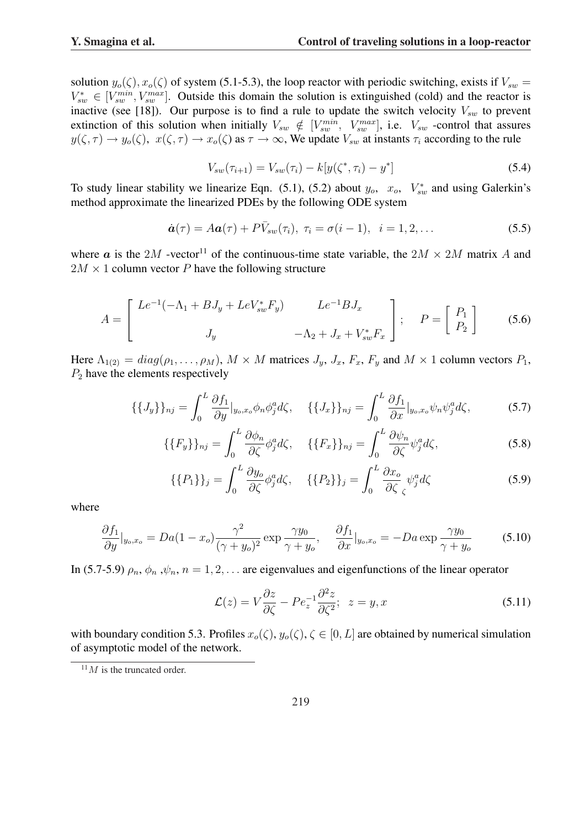solution  $y_o(\zeta)$ ,  $x_o(\zeta)$  of system (5.1-5.3), the loop reactor with periodic switching, exists if  $V_{sw}$  =  $V_{sw}^* \in [V_{sw}^{min}, V_{sw}^{max}]$ . Outside this domain the solution is extinguished (cold) and the reactor is inactive (see [18]). Our purpose is to find a rule to update the switch velocity  $V_{sw}$  to prevent extinction of this solution when initially  $V_{sw} \notin [V_{sw}^{min}, V_{sw}^{max}]$ , i.e.  $V_{sw}$  -control that assures  $y(\zeta, \tau) \to y_o(\zeta), x(\zeta, \tau) \to x_o(\zeta)$  as  $\tau \to \infty$ , We update  $V_{sw}$  at instants  $\tau_i$  according to the rule

$$
V_{sw}(\tau_{i+1}) = V_{sw}(\tau_i) - k[y(\zeta^*, \tau_i) - y^*]
$$
\n(5.4)

To study linear stability we linearize Eqn. (5.1), (5.2) about  $y_o$ ,  $x_o$ ,  $V_{sw}^*$  and using Galerkin's method approximate the linearized PDEs by the following ODE system

$$
\dot{\boldsymbol{a}}(\tau) = A\boldsymbol{a}(\tau) + P\bar{V}_{sw}(\tau_i), \ \tau_i = \sigma(i-1), \ \ i = 1, 2, \dots \tag{5.5}
$$

where a is the 2M -vector<sup>11</sup> of the continuous-time state variable, the  $2M \times 2M$  matrix A and  $2M \times 1$  column vector P have the following structure

$$
A = \begin{bmatrix} Le^{-1}(-\Lambda_1 + BJ_y + LeV_{sw}^* F_y) & Le^{-1}BJ_x \\ J_y & -\Lambda_2 + J_x + V_{sw}^* F_x \end{bmatrix}; \quad P = \begin{bmatrix} P_1 \\ P_2 \end{bmatrix}
$$
 (5.6)

Here  $\Lambda_{1(2)} = diag(\rho_1, \ldots, \rho_M)$ ,  $M \times M$  matrices  $J_y$ ,  $J_x$ ,  $F_x$ ,  $F_y$  and  $M \times 1$  column vectors  $P_1$ ,  $P_2$  have the elements respectively

$$
\{\{J_y\}\}_{nj} = \int_0^L \frac{\partial f_1}{\partial y}|_{y_o, x_o} \phi_n \phi_j^a d\zeta, \quad \{\{J_x\}\}_{nj} = \int_0^L \frac{\partial f_1}{\partial x}|_{y_o, x_o} \psi_n \psi_j^a d\zeta,
$$
 (5.7)

$$
\{\{F_y\}\}_{nj} = \int_0^L \frac{\partial \phi_n}{\partial \zeta} \phi_j^a d\zeta, \quad \{\{F_x\}\}_{nj} = \int_0^L \frac{\partial \psi_n}{\partial \zeta} \psi_j^a d\zeta,
$$
\n(5.8)

$$
\{\{P_1\}\}_j = \int_0^L \frac{\partial y_o}{\partial \zeta} \phi_j^a d\zeta, \quad \{\{P_2\}\}_j = \int_0^L \frac{\partial x_o}{\partial \zeta} \psi_j^a d\zeta \tag{5.9}
$$

where

$$
\frac{\partial f_1}{\partial y}|_{y_o, x_o} = Da(1 - x_o) \frac{\gamma^2}{(\gamma + y_o)^2} \exp \frac{\gamma y_0}{\gamma + y_o}, \quad \frac{\partial f_1}{\partial x}|_{y_o, x_o} = -Da \exp \frac{\gamma y_0}{\gamma + y_o}
$$
(5.10)

In (5.7-5.9)  $\rho_n$ ,  $\phi_n$ ,  $\psi_n$ ,  $n = 1, 2, \ldots$  are eigenvalues and eigenfunctions of the linear operator

$$
\mathcal{L}(z) = V \frac{\partial z}{\partial \zeta} - P e_z^{-1} \frac{\partial^2 z}{\partial \zeta^2}; \quad z = y, x \tag{5.11}
$$

with boundary condition 5.3. Profiles  $x_o(\zeta), y_o(\zeta), \zeta \in [0, L]$  are obtained by numerical simulation of asymptotic model of the network.

 $11$  M is the truncated order.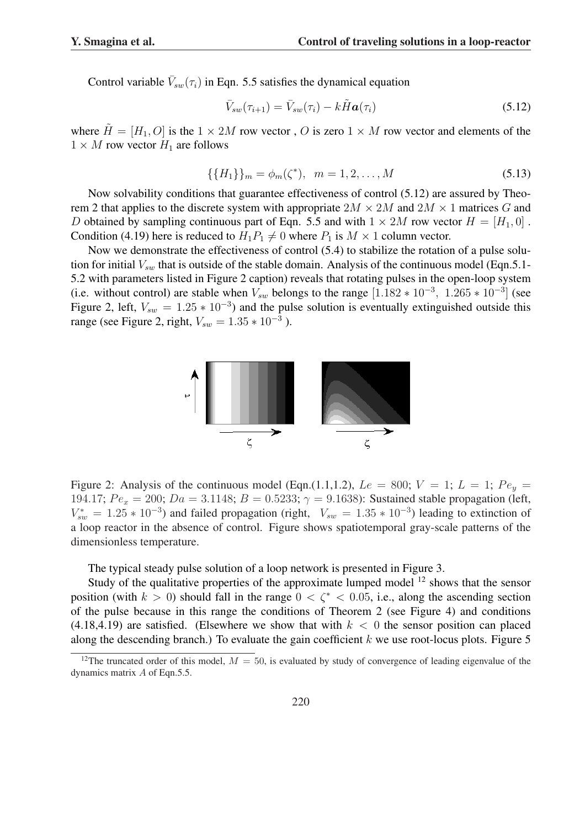Control variable  $\bar{V}_{sw}(\tau_i)$  in Eqn. 5.5 satisfies the dynamical equation

$$
\bar{V}_{sw}(\tau_{i+1}) = \bar{V}_{sw}(\tau_i) - k\tilde{H}\boldsymbol{a}(\tau_i)
$$
\n(5.12)

where  $\tilde{H} = [H_1, O]$  is the  $1 \times 2M$  row vector, O is zero  $1 \times M$  row vector and elements of the  $1 \times M$  row vector  $H_1$  are follows

$$
\{\{H_1\}\}_m = \phi_m(\zeta^*), \quad m = 1, 2, \dots, M \tag{5.13}
$$

Now solvability conditions that guarantee effectiveness of control (5.12) are assured by Theorem 2 that applies to the discrete system with appropriate  $2M \times 2M$  and  $2M \times 1$  matrices G and D obtained by sampling continuous part of Eqn. 5.5 and with  $1 \times 2M$  row vector  $H = [H_1, 0]$ . Condition (4.19) here is reduced to  $H_1P_1 \neq 0$  where  $P_1$  is  $M \times 1$  column vector.

Now we demonstrate the effectiveness of control (5.4) to stabilize the rotation of a pulse solution for initial  $V_{sw}$  that is outside of the stable domain. Analysis of the continuous model (Eqn.5.1-5.2 with parameters listed in Figure 2 caption) reveals that rotating pulses in the open-loop system (i.e. without control) are stable when  $V_{sw}$  belongs to the range  $[1.182 * 10^{-3}, 1.265 * 10^{-3}]$  (see Figure 2, left,  $V_{sw} = 1.25 * 10^{-3}$ ) and the pulse solution is eventually extinguished outside this range (see Figure 2, right,  $V_{sw} = 1.35 * 10^{-3}$ ).



Figure 2: Analysis of the continuous model (Eqn.(1.1,1.2),  $Le = 800$ ;  $V = 1$ ;  $L = 1$ ;  $Pe_y =$ 194.17;  $Pe_x = 200$ ;  $Da = 3.1148$ ;  $B = 0.5233$ ;  $\gamma = 9.1638$ ): Sustained stable propagation (left,  $V_{sw}^* = 1.25 * 10^{-3}$ ) and failed propagation (right,  $V_{sw} = 1.35 * 10^{-3}$ ) leading to extinction of a loop reactor in the absence of control. Figure shows spatiotemporal gray-scale patterns of the dimensionless temperature.

The typical steady pulse solution of a loop network is presented in Figure 3.

Study of the qualitative properties of the approximate lumped model  $12$  shows that the sensor position (with  $k > 0$ ) should fall in the range  $0 < \zeta^* < 0.05$ , i.e., along the ascending section of the pulse because in this range the conditions of Theorem 2 (see Figure 4) and conditions  $(4.18, 4.19)$  are satisfied. (Elsewhere we show that with  $k < 0$  the sensor position can placed along the descending branch.) To evaluate the gain coefficient  $k$  we use root-locus plots. Figure 5

<sup>&</sup>lt;sup>12</sup>The truncated order of this model,  $M = 50$ , is evaluated by study of convergence of leading eigenvalue of the dynamics matrix A of Eqn.5.5.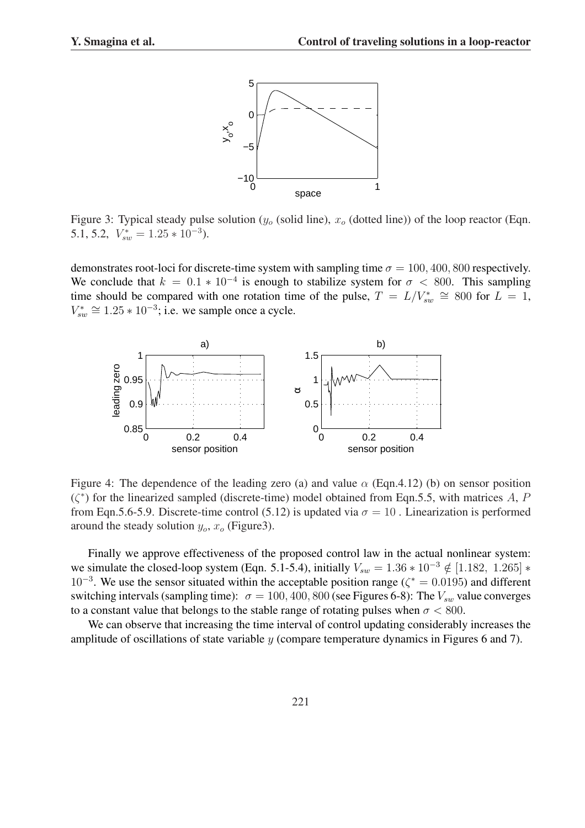

Figure 3: Typical steady pulse solution  $(y_0$  (solid line),  $x_0$  (dotted line)) of the loop reactor (Eqn. 5.1, 5.2,  $V_{sw}^* = 1.25 * 10^{-3}$ ).

demonstrates root-loci for discrete-time system with sampling time  $\sigma = 100, 400, 800$  respectively. We conclude that  $k = 0.1 * 10^{-4}$  is enough to stabilize system for  $\sigma < 800$ . This sampling time should be compared with one rotation time of the pulse,  $T = L/V_{sw}^* \cong 800$  for  $L = 1$ ,  $V_{sw}^* \cong 1.25 * 10^{-3}$ ; i.e. we sample once a cycle.



Figure 4: The dependence of the leading zero (a) and value  $\alpha$  (Eqn.4.12) (b) on sensor position  $(\zeta^*)$  for the linearized sampled (discrete-time) model obtained from Eqn.5.5, with matrices A, P from Eqn.5.6-5.9. Discrete-time control (5.12) is updated via  $\sigma = 10$ . Linearization is performed around the steady solution  $y_o$ ,  $x_o$  (Figure3).

Finally we approve effectiveness of the proposed control law in the actual nonlinear system: we simulate the closed-loop system (Eqn. 5.1-5.4), initially  $V_{sw} = 1.36 * 10^{-3} \notin [1.182, 1.265] *$  $10^{-3}$ . We use the sensor situated within the acceptable position range ( $\zeta^* = 0.0195$ ) and different switching intervals (sampling time):  $\sigma = 100, 400, 800$  (see Figures 6-8): The  $V_{sw}$  value converges to a constant value that belongs to the stable range of rotating pulses when  $\sigma < 800$ .

We can observe that increasing the time interval of control updating considerably increases the amplitude of oscillations of state variable y (compare temperature dynamics in Figures 6 and 7).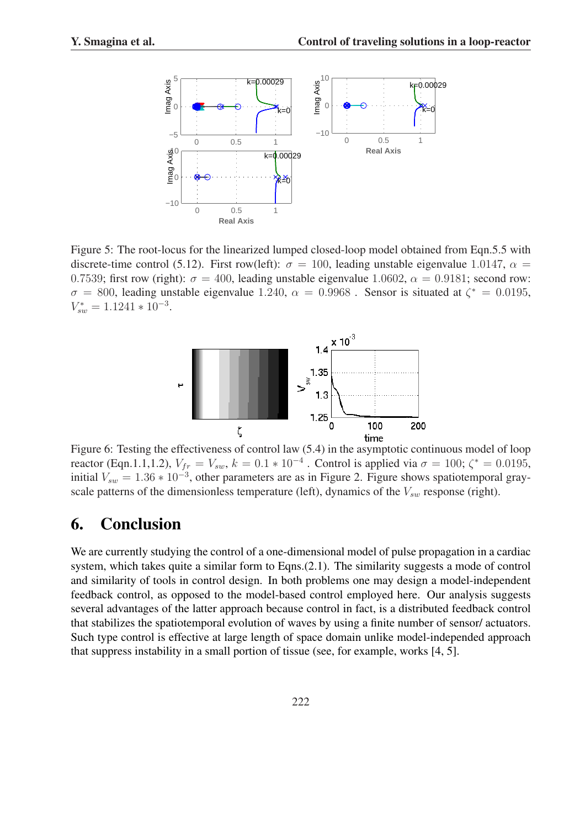

Figure 5: The root-locus for the linearized lumped closed-loop model obtained from Eqn.5.5 with discrete-time control (5.12). First row(left):  $\sigma = 100$ , leading unstable eigenvalue 1.0147,  $\alpha =$ 0.7539; first row (right):  $\sigma = 400$ , leading unstable eigenvalue 1.0602,  $\alpha = 0.9181$ ; second row:  $\sigma = 800$ , leading unstable eigenvalue 1.240,  $\alpha = 0.9968$ . Sensor is situated at  $\zeta^* = 0.0195$ ,  $V_{sw}^* = 1.1241 * 10^{-3}.$ 



Figure 6: Testing the effectiveness of control law (5.4) in the asymptotic continuous model of loop reactor (Eqn.1.1,1.2),  $V_{fr} = V_{sw}$ ,  $k = 0.1 * 10^{-4}$  . Control is applied via  $\sigma = 100$ ;  $\zeta^* = 0.0195$ , initial  $V_{sw} = 1.36 * 10^{-3}$ , other parameters are as in Figure 2. Figure shows spatiotemporal grayscale patterns of the dimensionless temperature (left), dynamics of the  $V_{sw}$  response (right).

## 6. Conclusion

We are currently studying the control of a one-dimensional model of pulse propagation in a cardiac system, which takes quite a similar form to Eqns.(2.1). The similarity suggests a mode of control and similarity of tools in control design. In both problems one may design a model-independent feedback control, as opposed to the model-based control employed here. Our analysis suggests several advantages of the latter approach because control in fact, is a distributed feedback control that stabilizes the spatiotemporal evolution of waves by using a finite number of sensor/ actuators. Such type control is effective at large length of space domain unlike model-independed approach that suppress instability in a small portion of tissue (see, for example, works [4, 5].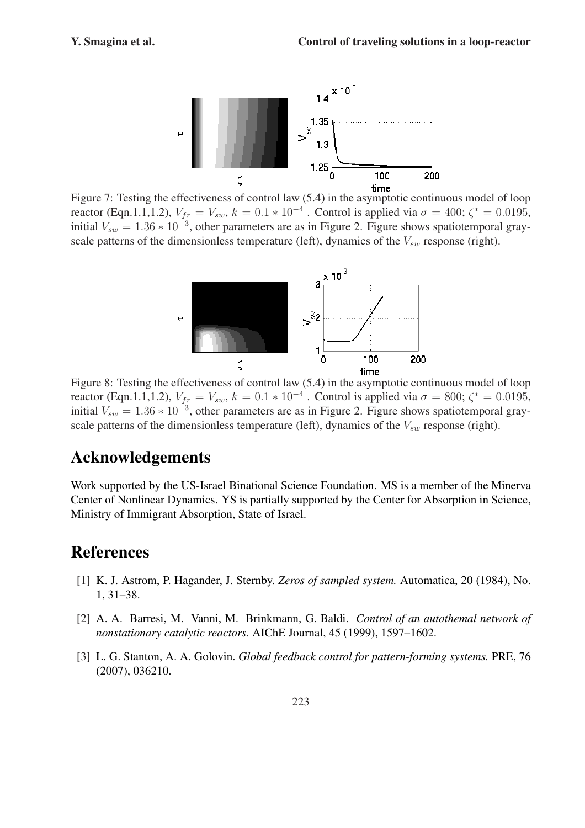

Figure 7: Testing the effectiveness of control law (5.4) in the asymptotic continuous model of loop reactor (Eqn.1.1,1.2),  $V_{fr} = V_{sw}$ ,  $k = 0.1 * 10^{-4}$ . Control is applied via  $\sigma = 400$ ;  $\zeta^* = 0.0195$ , initial  $V_{sw} = 1.36 * 10^{-3}$ , other parameters are as in Figure 2. Figure shows spatiotemporal grayscale patterns of the dimensionless temperature (left), dynamics of the  $V_{sw}$  response (right).



Figure 8: Testing the effectiveness of control law (5.4) in the asymptotic continuous model of loop reactor (Eqn.1.1,1.2),  $V_{fr} = V_{sw}$ ,  $k = 0.1 * 10^{-4}$  . Control is applied via  $\sigma = 800$ ;  $\zeta^* = 0.0195$ , initial  $V_{sw} = 1.36 * 10^{-3}$ , other parameters are as in Figure 2. Figure shows spatiotemporal grayscale patterns of the dimensionless temperature (left), dynamics of the  $V_{sw}$  response (right).

### Acknowledgements

Work supported by the US-Israel Binational Science Foundation. MS is a member of the Minerva Center of Nonlinear Dynamics. YS is partially supported by the Center for Absorption in Science, Ministry of Immigrant Absorption, State of Israel.

## References

- [1] K. J. Astrom, P. Hagander, J. Sternby. *Zeros of sampled system.* Automatica, 20 (1984), No. 1, 31–38.
- [2] A. A. Barresi, M. Vanni, M. Brinkmann, G. Baldi. *Control of an autothemal network of nonstationary catalytic reactors.* AIChE Journal, 45 (1999), 1597–1602.
- [3] L. G. Stanton, A. A. Golovin. *Global feedback control for pattern-forming systems.* PRE, 76 (2007), 036210.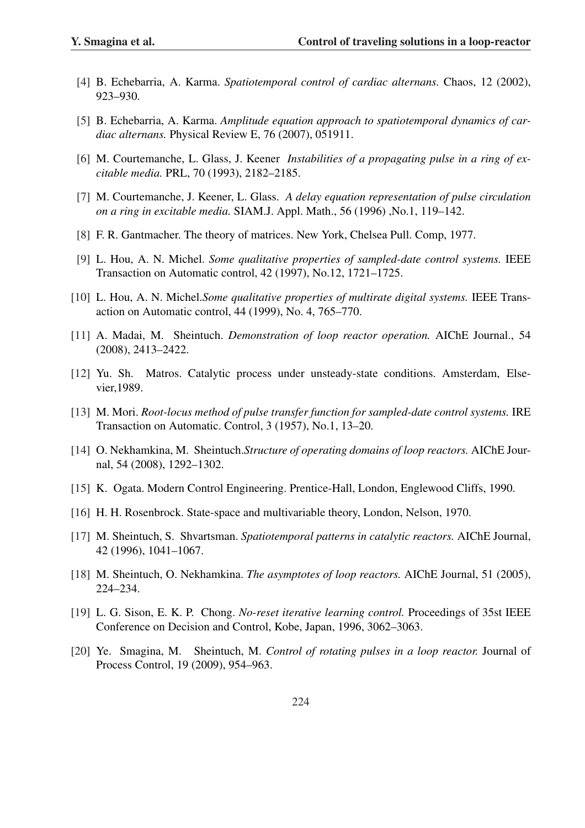- [4] B. Echebarria, A. Karma. *Spatiotemporal control of cardiac alternans.* Chaos, 12 (2002), 923–930.
- [5] B. Echebarria, A. Karma. *Amplitude equation approach to spatiotemporal dynamics of cardiac alternans.* Physical Review E, 76 (2007), 051911.
- [6] M. Courtemanche, L. Glass, J. Keener *Instabilities of a propagating pulse in a ring of excitable media.* PRL, 70 (1993), 2182–2185.
- [7] M. Courtemanche, J. Keener, L. Glass. *A delay equation representation of pulse circulation on a ring in excitable media.* SIAM.J. Appl. Math., 56 (1996) ,No.1, 119–142.
- [8] F. R. Gantmacher. The theory of matrices. New York, Chelsea Pull. Comp, 1977.
- [9] L. Hou, A. N. Michel. *Some qualitative properties of sampled-date control systems.* IEEE Transaction on Automatic control, 42 (1997), No.12, 1721–1725.
- [10] L. Hou, A. N. Michel.*Some qualitative properties of multirate digital systems.* IEEE Transaction on Automatic control, 44 (1999), No. 4, 765–770.
- [11] A. Madai, M. Sheintuch. *Demonstration of loop reactor operation.* AIChE Journal., 54 (2008), 2413–2422.
- [12] Yu. Sh. Matros. Catalytic process under unsteady-state conditions. Amsterdam, Elsevier,1989.
- [13] M. Mori. *Root-locus method of pulse transfer function for sampled-date control systems.* IRE Transaction on Automatic. Control, 3 (1957), No.1, 13–20.
- [14] O. Nekhamkina, M. Sheintuch.*Structure of operating domains of loop reactors.* AIChE Journal, 54 (2008), 1292–1302.
- [15] K. Ogata. Modern Control Engineering. Prentice-Hall, London, Englewood Cliffs, 1990.
- [16] H. H. Rosenbrock. State-space and multivariable theory, London, Nelson, 1970.
- [17] M. Sheintuch, S. Shvartsman. *Spatiotemporal patterns in catalytic reactors.* AIChE Journal, 42 (1996), 1041–1067.
- [18] M. Sheintuch, O. Nekhamkina. *The asymptotes of loop reactors.* AIChE Journal, 51 (2005), 224–234.
- [19] L. G. Sison, E. K. P. Chong. *No-reset iterative learning control.* Proceedings of 35st IEEE Conference on Decision and Control, Kobe, Japan, 1996, 3062–3063.
- [20] Ye. Smagina, M. Sheintuch, M. *Control of rotating pulses in a loop reactor.* Journal of Process Control, 19 (2009), 954–963.